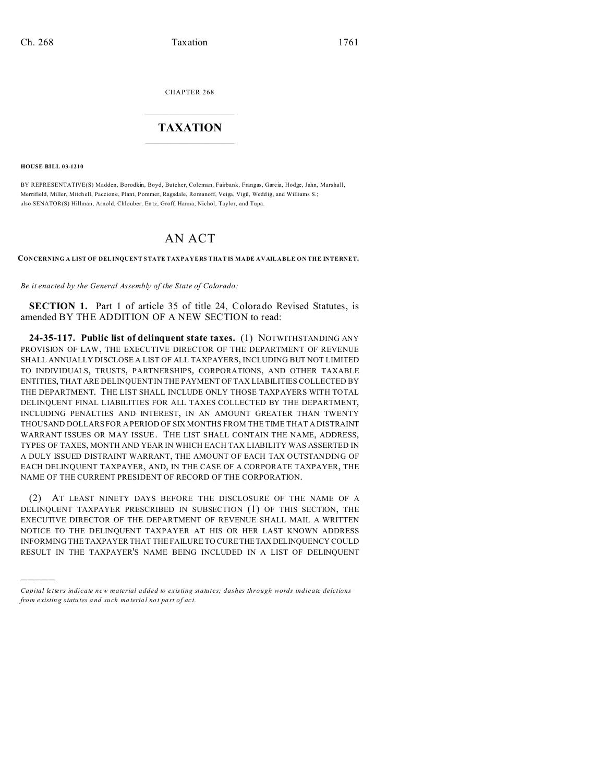CHAPTER 268  $\overline{\phantom{a}}$  , where  $\overline{\phantom{a}}$ 

## **TAXATION**  $\_$

**HOUSE BILL 03-1210**

)))))

BY REPRESENTATIVE(S) Madden, Borodkin, Boyd, Butcher, Coleman, Fairbank, Frangas, Garcia, Hodge, Jahn, Marshall, Merrifield, Miller, Mitchell, Paccione, Plant, Pommer, Ragsdale, Romanoff, Veiga, Vigil, Wedd ig, and Williams S.; also SENATOR(S) Hillman, Arnold, Chlouber, En tz, Groff, Hanna, Nichol, Taylor, and Tupa.

## AN ACT

**CONCERNING A LIST OF DELINQUENT STATE TAXPAYERS THAT IS MADE AVAILABLE ON THE INTERNET.**

*Be it enacted by the General Assembly of the State of Colorado:*

**SECTION 1.** Part 1 of article 35 of title 24, Colorado Revised Statutes, is amended BY THE ADDITION OF A NEW SECTION to read:

**24-35-117. Public list of delinquent state taxes.** (1) NOTWITHSTANDING ANY PROVISION OF LAW, THE EXECUTIVE DIRECTOR OF THE DEPARTMENT OF REVENUE SHALL ANNUALLY DISCLOSE A LIST OF ALL TAXPAYERS, INCLUDING BUT NOT LIMITED TO INDIVIDUALS, TRUSTS, PARTNERSHIPS, CORPORATIONS, AND OTHER TAXABLE ENTITIES, THAT ARE DELINQUENT IN THE PAYMENT OF TAX LIABILITIES COLLECTED BY THE DEPARTMENT. THE LIST SHALL INCLUDE ONLY THOSE TAXPAYERS WITH TOTAL DELINQUENT FINAL LIABILITIES FOR ALL TAXES COLLECTED BY THE DEPARTMENT, INCLUDING PENALTIES AND INTEREST, IN AN AMOUNT GREATER THAN TWENTY THOUSAND DOLLARS FOR A PERIOD OF SIX MONTHS FROM THE TIME THAT A DISTRAINT WARRANT ISSUES OR MAY ISSUE. THE LIST SHALL CONTAIN THE NAME, ADDRESS, TYPES OF TAXES, MONTH AND YEAR IN WHICH EACH TAX LIABILITY WAS ASSERTED IN A DULY ISSUED DISTRAINT WARRANT, THE AMOUNT OF EACH TAX OUTSTANDING OF EACH DELINQUENT TAXPAYER, AND, IN THE CASE OF A CORPORATE TAXPAYER, THE NAME OF THE CURRENT PRESIDENT OF RECORD OF THE CORPORATION.

(2) AT LEAST NINETY DAYS BEFORE THE DISCLOSURE OF THE NAME OF A DELINQUENT TAXPAYER PRESCRIBED IN SUBSECTION (1) OF THIS SECTION, THE EXECUTIVE DIRECTOR OF THE DEPARTMENT OF REVENUE SHALL MAIL A WRITTEN NOTICE TO THE DELINQUENT TAXPAYER AT HIS OR HER LAST KNOWN ADDRESS INFORMING THE TAXPAYER THAT THE FAILURE TO CURE THETAX DELINQUENCY COULD RESULT IN THE TAXPAYER'S NAME BEING INCLUDED IN A LIST OF DELINQUENT

*Capital letters indicate new material added to existing statutes; dashes through words indicate deletions from e xistin g statu tes a nd such ma teria l no t pa rt of ac t.*